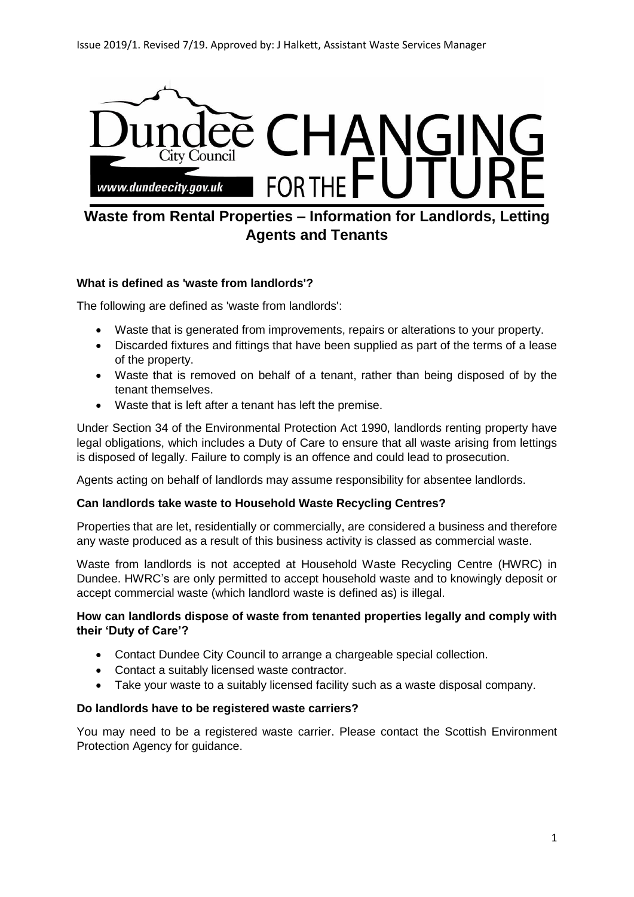

# **Waste from Rental Properties – Information for Landlords, Letting Agents and Tenants**

## **What is defined as 'waste from landlords'?**

The following are defined as 'waste from landlords':

- Waste that is generated from improvements, repairs or alterations to your property.
- Discarded fixtures and fittings that have been supplied as part of the terms of a lease of the property.
- Waste that is removed on behalf of a tenant, rather than being disposed of by the tenant themselves.
- Waste that is left after a tenant has left the premise.

Under Section 34 of the Environmental Protection Act 1990, landlords renting property have legal obligations, which includes a Duty of Care to ensure that all waste arising from lettings is disposed of legally. Failure to comply is an offence and could lead to prosecution.

Agents acting on behalf of landlords may assume responsibility for absentee landlords.

#### **Can landlords take waste to Household Waste Recycling Centres?**

Properties that are let, residentially or commercially, are considered a business and therefore any waste produced as a result of this business activity is classed as commercial waste.

Waste from landlords is not accepted at Household Waste Recycling Centre (HWRC) in Dundee. HWRC's are only permitted to accept household waste and to knowingly deposit or accept commercial waste (which landlord waste is defined as) is illegal.

### **How can landlords dispose of waste from tenanted properties legally and comply with their 'Duty of Care'?**

- Contact Dundee City Council to arrange a chargeable special collection.
- Contact a suitably licensed waste contractor.
- Take your waste to a suitably licensed facility such as a waste disposal company.

#### **Do landlords have to be registered waste carriers?**

You may need to be a registered waste carrier. Please contact the Scottish Environment Protection Agency for guidance.